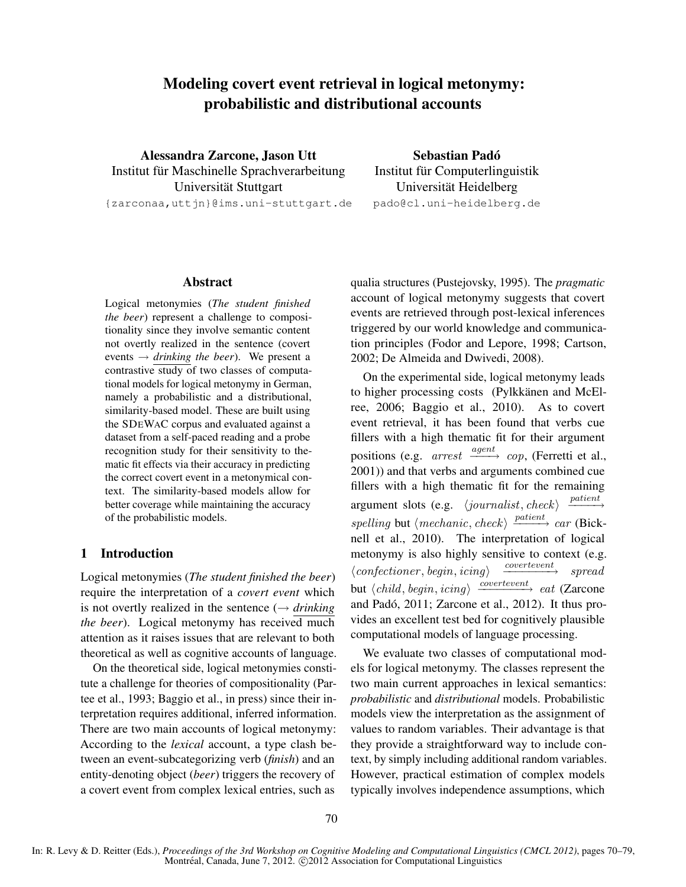# Modeling covert event retrieval in logical metonymy: probabilistic and distributional accounts

Alessandra Zarcone, Jason Utt Institut für Maschinelle Sprachverarbeitung Universität Stuttgart {zarconaa,uttjn}@ims.uni-stuttgart.de

Sebastian Padó Institut für Computerlinguistik Universität Heidelberg pado@cl.uni-heidelberg.de

#### Abstract

Logical metonymies (*The student finished the beer*) represent a challenge to compositionality since they involve semantic content not overtly realized in the sentence (covert events  $\rightarrow$  *drinking the beer*). We present a contrastive study of two classes of computational models for logical metonymy in German, namely a probabilistic and a distributional, similarity-based model. These are built using the SDEWAC corpus and evaluated against a dataset from a self-paced reading and a probe recognition study for their sensitivity to thematic fit effects via their accuracy in predicting the correct covert event in a metonymical context. The similarity-based models allow for better coverage while maintaining the accuracy of the probabilistic models.

# 1 Introduction

Logical metonymies (*The student finished the beer*) require the interpretation of a *covert event* which is not overtly realized in the sentence  $(\rightarrow$  *drinking the beer*). Logical metonymy has received much attention as it raises issues that are relevant to both theoretical as well as cognitive accounts of language.

On the theoretical side, logical metonymies constitute a challenge for theories of compositionality (Partee et al., 1993; Baggio et al., in press) since their interpretation requires additional, inferred information. There are two main accounts of logical metonymy: According to the *lexical* account, a type clash between an event-subcategorizing verb (*finish*) and an entity-denoting object (*beer*) triggers the recovery of a covert event from complex lexical entries, such as

qualia structures (Pustejovsky, 1995). The *pragmatic* account of logical metonymy suggests that covert events are retrieved through post-lexical inferences triggered by our world knowledge and communication principles (Fodor and Lepore, 1998; Cartson, 2002; De Almeida and Dwivedi, 2008).

On the experimental side, logical metonymy leads to higher processing costs (Pylkkänen and McElree, 2006; Baggio et al., 2010). As to covert event retrieval, it has been found that verbs cue fillers with a high thematic fit for their argument positions (e.g. *arrest*  $\frac{agent}{\longrightarrow} cop$ , (Ferretti et al., 2001)) and that verbs and arguments combined cue fillers with a high thematic fit for the remaining argument slots (e.g.  $\langle$ *journalist*, *check* $\rangle$  $\xrightarrow{patient}$ spelling but  $\langle \textit{mechanic}, \textit{check} \rangle \xrightarrow{\textit{patient}} \textit{car}$  (Bicknell et al., 2010). The interpretation of logical metonymy is also highly sensitive to context (e.g.  $\langle \text{confectioner}, \text{begin}, \text{icing} \rangle$  $\overrightarrow{correct}$  spread but  $\langle child, begin,icing \rangle \xrightarrow{covertevent} eat$  (Zarcone and Padó, 2011; Zarcone et al., 2012). It thus provides an excellent test bed for cognitively plausible computational models of language processing.

We evaluate two classes of computational models for logical metonymy. The classes represent the two main current approaches in lexical semantics: *probabilistic* and *distributional* models. Probabilistic models view the interpretation as the assignment of values to random variables. Their advantage is that they provide a straightforward way to include context, by simply including additional random variables. However, practical estimation of complex models typically involves independence assumptions, which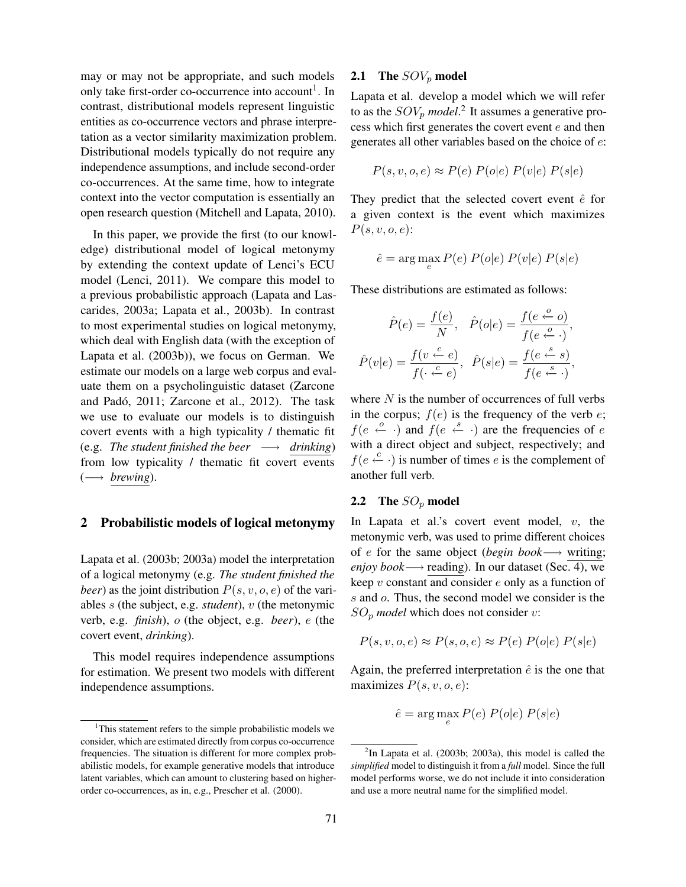may or may not be appropriate, and such models only take first-order co-occurrence into account<sup>1</sup>. In contrast, distributional models represent linguistic entities as co-occurrence vectors and phrase interpretation as a vector similarity maximization problem. Distributional models typically do not require any independence assumptions, and include second-order co-occurrences. At the same time, how to integrate context into the vector computation is essentially an open research question (Mitchell and Lapata, 2010).

In this paper, we provide the first (to our knowledge) distributional model of logical metonymy by extending the context update of Lenci's ECU model (Lenci, 2011). We compare this model to a previous probabilistic approach (Lapata and Lascarides, 2003a; Lapata et al., 2003b). In contrast to most experimental studies on logical metonymy, which deal with English data (with the exception of Lapata et al. (2003b)), we focus on German. We estimate our models on a large web corpus and evaluate them on a psycholinguistic dataset (Zarcone and Padó, 2011; Zarcone et al., 2012). The task we use to evaluate our models is to distinguish covert events with a high typicality / thematic fit (e.g. *The student finished the beer*  $\longrightarrow$  *drinking*) from low typicality / thematic fit covert events  $(\longrightarrow \text{brewing}).$ 

#### 2 Probabilistic models of logical metonymy

Lapata et al. (2003b; 2003a) model the interpretation of a logical metonymy (e.g. *The student finished the beer*) as the joint distribution  $P(s, v, o, e)$  of the variables s (the subject, e.g. *student*), v (the metonymic verb, e.g. *finish*), o (the object, e.g. *beer*), e (the covert event, *drinking*).

This model requires independence assumptions for estimation. We present two models with different independence assumptions.

#### **2.1** The  $SOV_p$  model

Lapata et al. develop a model which we will refer to as the  $SOV_p \ model$ <sup>2</sup>. It assumes a generative process which first generates the covert event  $e$  and then generates all other variables based on the choice of e:

$$
P(s, v, o, e) \approx P(e) P(o|e) P(v|e) P(s|e)
$$

They predict that the selected covert event  $\hat{e}$  for a given context is the event which maximizes  $P(s, v, o, e)$ :

$$
\hat{e} = \arg\max_{e} P(e) P(o|e) P(v|e) P(s|e)
$$

These distributions are estimated as follows:

$$
\hat{P}(e) = \frac{f(e)}{N}, \quad \hat{P}(o|e) = \frac{f(e \stackrel{o}{\leftarrow} o)}{f(e \stackrel{o}{\leftarrow} \cdot)},
$$

$$
\hat{P}(v|e) = \frac{f(v \stackrel{c}{\leftarrow} e)}{f(\cdot \stackrel{c}{\leftarrow} e)}, \quad \hat{P}(s|e) = \frac{f(e \stackrel{s}{\leftarrow} s)}{f(e \stackrel{s}{\leftarrow} \cdot)},
$$

where  $N$  is the number of occurrences of full verbs in the corpus;  $f(e)$  is the frequency of the verb  $e$ ;  $f(e \stackrel{o}{\leftarrow} \cdot)$  and  $f(e \stackrel{s}{\leftarrow} \cdot)$  are the frequencies of e with a direct object and subject, respectively; and  $f(e \stackrel{c}{\leftarrow} \cdot)$  is number of times *e* is the complement of another full verb.

#### **2.2** The  $SO_p$  model

In Lapata et al.'s covert event model,  $v$ , the metonymic verb, was used to prime different choices of e for the same object (*begin book*−→ writing; *enjoy book* → reading). In our dataset (Sec. 4), we keep  $v$  constant and consider  $e$  only as a function of s and o. Thus, the second model we consider is the  $SO_p$  *model* which does not consider v:

$$
P(s, v, o, e) \approx P(s, o, e) \approx P(e) P(o|e) P(s|e)
$$

Again, the preferred interpretation  $\hat{e}$  is the one that maximizes  $P(s, v, o, e)$ :

$$
\hat{e} = \arg\max_{e} P(e) P(o|e) P(s|e)
$$

<sup>&</sup>lt;sup>1</sup>This statement refers to the simple probabilistic models we consider, which are estimated directly from corpus co-occurrence frequencies. The situation is different for more complex probabilistic models, for example generative models that introduce latent variables, which can amount to clustering based on higherorder co-occurrences, as in, e.g., Prescher et al. (2000).

 $2$ In Lapata et al. (2003b; 2003a), this model is called the *simplified* model to distinguish it from a *full* model. Since the full model performs worse, we do not include it into consideration and use a more neutral name for the simplified model.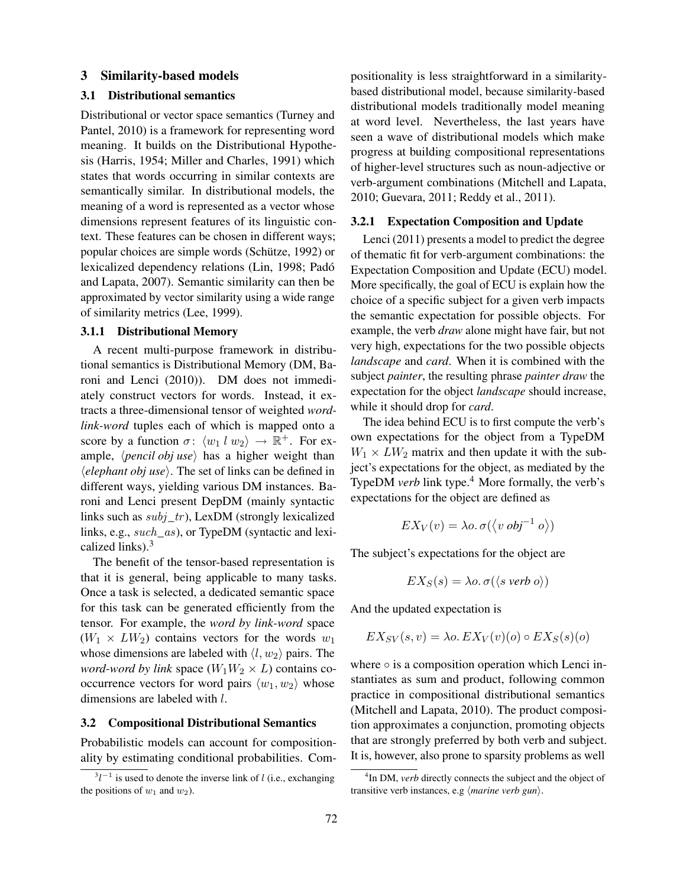## 3 Similarity-based models

# 3.1 Distributional semantics

Distributional or vector space semantics (Turney and Pantel, 2010) is a framework for representing word meaning. It builds on the Distributional Hypothesis (Harris, 1954; Miller and Charles, 1991) which states that words occurring in similar contexts are semantically similar. In distributional models, the meaning of a word is represented as a vector whose dimensions represent features of its linguistic context. These features can be chosen in different ways; popular choices are simple words (Schütze, 1992) or lexicalized dependency relations (Lin, 1998; Padó and Lapata, 2007). Semantic similarity can then be approximated by vector similarity using a wide range of similarity metrics (Lee, 1999).

# 3.1.1 Distributional Memory

A recent multi-purpose framework in distributional semantics is Distributional Memory (DM, Baroni and Lenci (2010)). DM does not immediately construct vectors for words. Instead, it extracts a three-dimensional tensor of weighted *wordlink-word* tuples each of which is mapped onto a score by a function  $\sigma: \langle w_1 \, l \, w_2 \rangle \to \mathbb{R}^+$ . For example,  $\langle$ *pencil obj use* $\rangle$  has a higher weight than  $\langle element \, obj \, use \rangle$ . The set of links can be defined in different ways, yielding various DM instances. Baroni and Lenci present DepDM (mainly syntactic links such as  $subj\_tr$ ), LexDM (strongly lexicalized links, e.g., *such* as), or TypeDM (syntactic and lexicalized links). $3$ 

The benefit of the tensor-based representation is that it is general, being applicable to many tasks. Once a task is selected, a dedicated semantic space for this task can be generated efficiently from the tensor. For example, the *word by link-word* space  $(W_1 \times LW_2)$  contains vectors for the words  $w_1$ whose dimensions are labeled with  $\langle l, w_2 \rangle$  pairs. The *word-word by link* space  $(W_1W_2 \times L)$  contains cooccurrence vectors for word pairs  $\langle w_1, w_2 \rangle$  whose dimensions are labeled with l.

# 3.2 Compositional Distributional Semantics

Probabilistic models can account for compositionality by estimating conditional probabilities. Compositionality is less straightforward in a similaritybased distributional model, because similarity-based distributional models traditionally model meaning at word level. Nevertheless, the last years have seen a wave of distributional models which make progress at building compositional representations of higher-level structures such as noun-adjective or verb-argument combinations (Mitchell and Lapata, 2010; Guevara, 2011; Reddy et al., 2011).

## 3.2.1 Expectation Composition and Update

Lenci (2011) presents a model to predict the degree of thematic fit for verb-argument combinations: the Expectation Composition and Update (ECU) model. More specifically, the goal of ECU is explain how the choice of a specific subject for a given verb impacts the semantic expectation for possible objects. For example, the verb *draw* alone might have fair, but not very high, expectations for the two possible objects *landscape* and *card*. When it is combined with the subject *painter*, the resulting phrase *painter draw* the expectation for the object *landscape* should increase, while it should drop for *card*.

The idea behind ECU is to first compute the verb's own expectations for the object from a TypeDM  $W_1 \times LW_2$  matrix and then update it with the subject's expectations for the object, as mediated by the TypeDM *verb* link type.<sup>4</sup> More formally, the verb's expectations for the object are defined as

$$
EX_V(v) = \lambda o. \sigma(\langle v \text{ obj}^{-1} \text{ o} \rangle)
$$

The subject's expectations for the object are

$$
EX_S(s) = \lambda o. \sigma(\langle s \text{ verb } o \rangle)
$$

And the updated expectation is

$$
EX_{SV}(s,v) = \lambda o. \, EX_V(v)(o) \circ EX_S(s)(o)
$$

where  $\circ$  is a composition operation which Lenci instantiates as sum and product, following common practice in compositional distributional semantics (Mitchell and Lapata, 2010). The product composition approximates a conjunction, promoting objects that are strongly preferred by both verb and subject. It is, however, also prone to sparsity problems as well

 $3l^{-1}$  is used to denote the inverse link of l (i.e., exchanging the positions of  $w_1$  and  $w_2$ ).

<sup>&</sup>lt;sup>4</sup>In DM, *verb* directly connects the subject and the object of transitive verb instances, e.g (*marine verb gun*).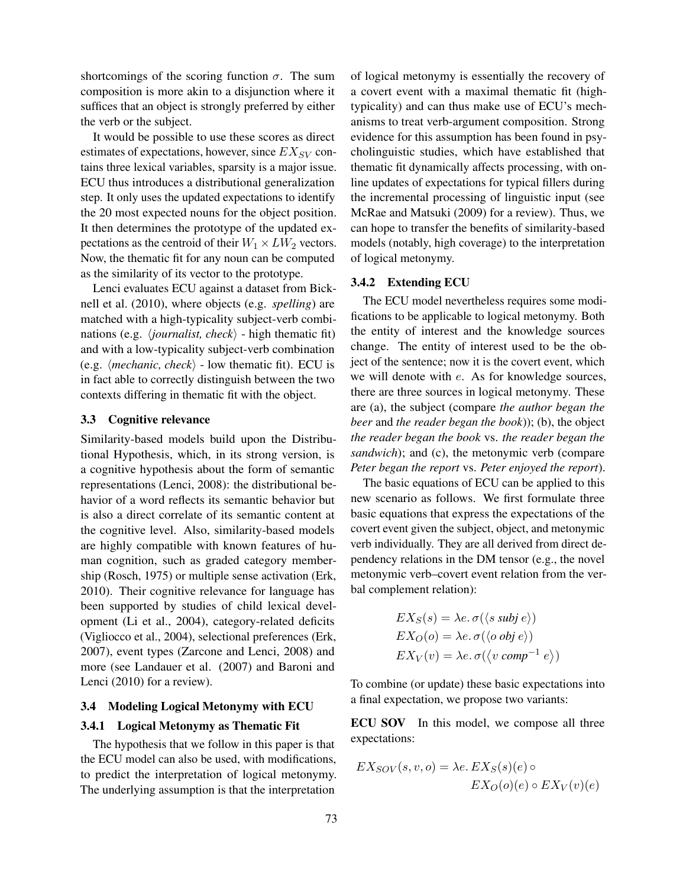shortcomings of the scoring function  $\sigma$ . The sum composition is more akin to a disjunction where it suffices that an object is strongly preferred by either the verb or the subject.

It would be possible to use these scores as direct estimates of expectations, however, since  $EX_{SV}$  contains three lexical variables, sparsity is a major issue. ECU thus introduces a distributional generalization step. It only uses the updated expectations to identify the 20 most expected nouns for the object position. It then determines the prototype of the updated expectations as the centroid of their  $W_1 \times LW_2$  vectors. Now, the thematic fit for any noun can be computed as the similarity of its vector to the prototype.

Lenci evaluates ECU against a dataset from Bicknell et al. (2010), where objects (e.g. *spelling*) are matched with a high-typicality subject-verb combinations (e.g. *\iournalist, check* $\rangle$  - high thematic fit) and with a low-typicality subject-verb combination (e.g.  $\langle$ *mechanic, check* $\rangle$  - low thematic fit). ECU is in fact able to correctly distinguish between the two contexts differing in thematic fit with the object.

## 3.3 Cognitive relevance

Similarity-based models build upon the Distributional Hypothesis, which, in its strong version, is a cognitive hypothesis about the form of semantic representations (Lenci, 2008): the distributional behavior of a word reflects its semantic behavior but is also a direct correlate of its semantic content at the cognitive level. Also, similarity-based models are highly compatible with known features of human cognition, such as graded category membership (Rosch, 1975) or multiple sense activation (Erk, 2010). Their cognitive relevance for language has been supported by studies of child lexical development (Li et al., 2004), category-related deficits (Vigliocco et al., 2004), selectional preferences (Erk, 2007), event types (Zarcone and Lenci, 2008) and more (see Landauer et al. (2007) and Baroni and Lenci (2010) for a review).

#### 3.4 Modeling Logical Metonymy with ECU

#### 3.4.1 Logical Metonymy as Thematic Fit

The hypothesis that we follow in this paper is that the ECU model can also be used, with modifications, to predict the interpretation of logical metonymy. The underlying assumption is that the interpretation

of logical metonymy is essentially the recovery of a covert event with a maximal thematic fit (hightypicality) and can thus make use of ECU's mechanisms to treat verb-argument composition. Strong evidence for this assumption has been found in psycholinguistic studies, which have established that thematic fit dynamically affects processing, with online updates of expectations for typical fillers during the incremental processing of linguistic input (see McRae and Matsuki (2009) for a review). Thus, we can hope to transfer the benefits of similarity-based models (notably, high coverage) to the interpretation of logical metonymy.

# 3.4.2 Extending ECU

The ECU model nevertheless requires some modifications to be applicable to logical metonymy. Both the entity of interest and the knowledge sources change. The entity of interest used to be the object of the sentence; now it is the covert event, which we will denote with e. As for knowledge sources, there are three sources in logical metonymy. These are (a), the subject (compare *the author began the beer* and *the reader began the book*)); (b), the object *the reader began the book* vs. *the reader began the sandwich*); and (c), the metonymic verb (compare *Peter began the report* vs. *Peter enjoyed the report*).

The basic equations of ECU can be applied to this new scenario as follows. We first formulate three basic equations that express the expectations of the covert event given the subject, object, and metonymic verb individually. They are all derived from direct dependency relations in the DM tensor (e.g., the novel metonymic verb–covert event relation from the verbal complement relation):

$$
EX_S(s) = \lambda e. \sigma(\langle s \text{ subj } e \rangle)
$$
  
\n
$$
EX_O(o) = \lambda e. \sigma(\langle o \text{ obj } e \rangle)
$$
  
\n
$$
EX_V(v) = \lambda e. \sigma(\langle v \text{ comp}^{-1} e \rangle)
$$

To combine (or update) these basic expectations into a final expectation, we propose two variants:

ECU SOV In this model, we compose all three expectations:

$$
EX_{SOV}(s, v, o) = \lambda e. EX_{S}(s)(e) \circ
$$

$$
EX_{O}(o)(e) \circ EX_{V}(v)(e)
$$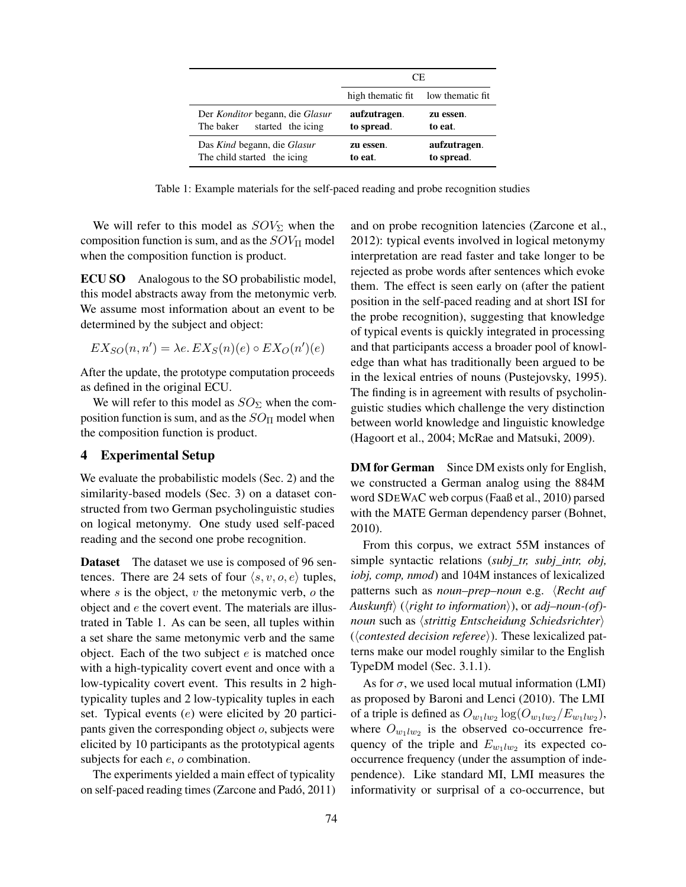|                                                                   | CE.                        |                            |  |
|-------------------------------------------------------------------|----------------------------|----------------------------|--|
|                                                                   | high thematic fit.         | low thematic fit           |  |
| Der Konditor begann, die Glasur<br>started the icing<br>The baker | aufzutragen.<br>to spread. | zu essen.<br>to eat.       |  |
| Das Kind begann, die Glasur<br>The child started the icing        | zu essen.<br>to eat.       | aufzutragen.<br>to spread. |  |

Table 1: Example materials for the self-paced reading and probe recognition studies

We will refer to this model as  $SOV_{\Sigma}$  when the composition function is sum, and as the  $SOV_{\Pi}$  model when the composition function is product.

ECU SO Analogous to the SO probabilistic model, this model abstracts away from the metonymic verb. We assume most information about an event to be determined by the subject and object:

$$
EX_{SO}(n, n') = \lambda e. \, EX_{S}(n)(e) \circ EX_{O}(n')(e)
$$

After the update, the prototype computation proceeds as defined in the original ECU.

We will refer to this model as  $SO_{\Sigma}$  when the composition function is sum, and as the  $SO_{\Pi}$  model when the composition function is product.

# 4 Experimental Setup

We evaluate the probabilistic models (Sec. 2) and the similarity-based models (Sec. 3) on a dataset constructed from two German psycholinguistic studies on logical metonymy. One study used self-paced reading and the second one probe recognition.

Dataset The dataset we use is composed of 96 sentences. There are 24 sets of four  $\langle s, v, o, e \rangle$  tuples, where  $s$  is the object,  $v$  the metonymic verb,  $o$  the object and  $e$  the covert event. The materials are illustrated in Table 1. As can be seen, all tuples within a set share the same metonymic verb and the same object. Each of the two subject  $e$  is matched once with a high-typicality covert event and once with a low-typicality covert event. This results in 2 hightypicality tuples and 2 low-typicality tuples in each set. Typical events (e) were elicited by 20 participants given the corresponding object  $o$ , subjects were elicited by 10 participants as the prototypical agents subjects for each  $e$ ,  $o$  combination.

The experiments yielded a main effect of typicality on self-paced reading times (Zarcone and Padó, 2011) and on probe recognition latencies (Zarcone et al., 2012): typical events involved in logical metonymy interpretation are read faster and take longer to be rejected as probe words after sentences which evoke them. The effect is seen early on (after the patient position in the self-paced reading and at short ISI for the probe recognition), suggesting that knowledge of typical events is quickly integrated in processing and that participants access a broader pool of knowledge than what has traditionally been argued to be in the lexical entries of nouns (Pustejovsky, 1995). The finding is in agreement with results of psycholinguistic studies which challenge the very distinction between world knowledge and linguistic knowledge (Hagoort et al., 2004; McRae and Matsuki, 2009).

DM for German Since DM exists only for English, we constructed a German analog using the 884M word SDEWAC web corpus (Faaß et al., 2010) parsed with the MATE German dependency parser (Bohnet, 2010).

From this corpus, we extract 55M instances of simple syntactic relations (*subj\_tr, subj\_intr, obj, iobj, comp, nmod*) and 104M instances of lexicalized patterns such as *noun–prep–noun* e.g. *\Recht auf Auskunft*) (*\right to information*)), or *adj–noun-(of)noun* such as  $\langle$ *strittig Entscheidung Schiedsrichter* $\rangle$ (*(contested decision referee)*). These lexicalized patterns make our model roughly similar to the English TypeDM model (Sec. 3.1.1).

As for  $\sigma$ , we used local mutual information (LMI) as proposed by Baroni and Lenci (2010). The LMI of a triple is defined as  $O_{w_1 l w_2} \log(O_{w_1 l w_2}/E_{w_1 l w_2}),$ where  $O_{w_1/w_2}$  is the observed co-occurrence frequency of the triple and  $E_{w_1 l w_2}$  its expected cooccurrence frequency (under the assumption of independence). Like standard MI, LMI measures the informativity or surprisal of a co-occurrence, but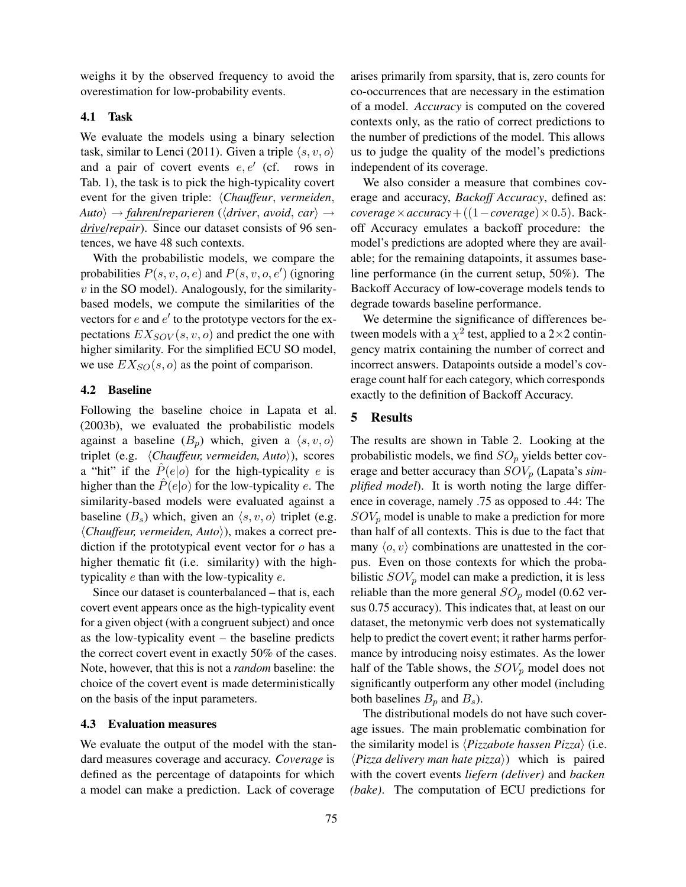weighs it by the observed frequency to avoid the overestimation for low-probability events.

## 4.1 Task

We evaluate the models using a binary selection task, similar to Lenci (2011). Given a triple  $\langle s, v, o \rangle$ and a pair of covert events  $e, e'$  (cf. rows in Tab. 1), the task is to pick the high-typicality covert event for the given triple: *(Chauffeur, vermeiden,*  $\langle Auto \rangle \rightarrow \langle father \rangle / \langlepartial (Ariver, avoid, car \rangle \rightarrow \langle A \rangle$ *drive*/*repair*). Since our dataset consists of 96 sentences, we have 48 such contexts.

With the probabilistic models, we compare the probabilities  $P(s, v, o, e)$  and  $P(s, v, o, e')$  (ignoring  $v$  in the SO model). Analogously, for the similaritybased models, we compute the similarities of the vectors for  $e$  and  $e'$  to the prototype vectors for the expectations  $EX_{SOV}(s, v, o)$  and predict the one with higher similarity. For the simplified ECU SO model, we use  $EX_{SO}(s, o)$  as the point of comparison.

# 4.2 Baseline

Following the baseline choice in Lapata et al. (2003b), we evaluated the probabilistic models against a baseline  $(B_n)$  which, given a  $\langle s, v, o \rangle$ triplet (e.g. *(Chauffeur, vermeiden, Auto*)), scores a "hit" if the  $\hat{P}(e|o)$  for the high-typicality e is higher than the  $\hat{P}(e|o)$  for the low-typicality e. The similarity-based models were evaluated against a baseline  $(B_s)$  which, given an  $\langle s, v, o \rangle$  triplet (e.g. h*Chauffeur, vermeiden, Auto*i), makes a correct prediction if the prototypical event vector for  $o$  has a higher thematic fit (i.e. similarity) with the hightypicality e than with the low-typicality e.

Since our dataset is counterbalanced – that is, each covert event appears once as the high-typicality event for a given object (with a congruent subject) and once as the low-typicality event – the baseline predicts the correct covert event in exactly 50% of the cases. Note, however, that this is not a *random* baseline: the choice of the covert event is made deterministically on the basis of the input parameters.

#### 4.3 Evaluation measures

We evaluate the output of the model with the standard measures coverage and accuracy. *Coverage* is defined as the percentage of datapoints for which a model can make a prediction. Lack of coverage arises primarily from sparsity, that is, zero counts for co-occurrences that are necessary in the estimation of a model. *Accuracy* is computed on the covered contexts only, as the ratio of correct predictions to the number of predictions of the model. This allows us to judge the quality of the model's predictions independent of its coverage.

We also consider a measure that combines coverage and accuracy, *Backoff Accuracy*, defined as:  $coverage \times accuracy + ((1-coverage) \times 0.5)$ . Backoff Accuracy emulates a backoff procedure: the model's predictions are adopted where they are available; for the remaining datapoints, it assumes baseline performance (in the current setup, 50%). The Backoff Accuracy of low-coverage models tends to degrade towards baseline performance.

We determine the significance of differences between models with a  $\chi^2$  test, applied to a 2×2 contingency matrix containing the number of correct and incorrect answers. Datapoints outside a model's coverage count half for each category, which corresponds exactly to the definition of Backoff Accuracy.

# 5 Results

The results are shown in Table 2. Looking at the probabilistic models, we find  $SO_p$  yields better coverage and better accuracy than  $SOV_p$  (Lapata's *simplified model*). It is worth noting the large difference in coverage, namely .75 as opposed to .44: The  $SOV_p$  model is unable to make a prediction for more than half of all contexts. This is due to the fact that many  $\langle o, v \rangle$  combinations are unattested in the corpus. Even on those contexts for which the probabilistic  $SOV_p$  model can make a prediction, it is less reliable than the more general  $SO_p$  model (0.62 versus 0.75 accuracy). This indicates that, at least on our dataset, the metonymic verb does not systematically help to predict the covert event; it rather harms performance by introducing noisy estimates. As the lower half of the Table shows, the  $SOV_p$  model does not significantly outperform any other model (including both baselines  $B_p$  and  $B_s$ ).

The distributional models do not have such coverage issues. The main problematic combination for the similarity model is  $\langle \text{Pizzabote} \text{hassen Pizza} \rangle$  (i.e.  $\langle \text{Pizza delivery man hate pizza} \rangle$ ) which is paired with the covert events *liefern (deliver)* and *backen (bake)*. The computation of ECU predictions for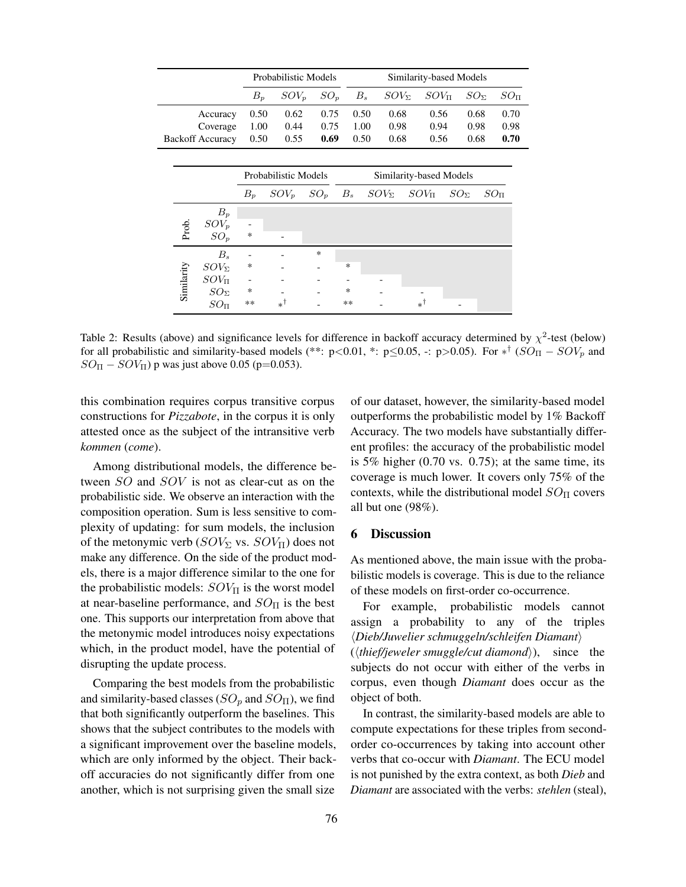|  |                      |                         | Probabilistic Models |         |                         |       | Similarity-based Models |                |               |             |               |               |                     |  |
|--|----------------------|-------------------------|----------------------|---------|-------------------------|-------|-------------------------|----------------|---------------|-------------|---------------|---------------|---------------------|--|
|  |                      |                         | $B_p$                | $SOV_n$ | $SO_n$                  |       | $B_s$                   | $SOV_{\Sigma}$ |               | $SOV_{\Pi}$ |               | $SO_{\Sigma}$ | $SO_{\overline{n}}$ |  |
|  |                      | Accuracy                | 0.50                 | 0.62    | 0.75                    |       | 0.50                    | 0.68           |               | 0.56        |               | 0.68          | 0.70                |  |
|  |                      | Coverage                | 1.00                 | 0.44    | 0.75                    |       | 1.00                    | 0.98           |               | 0.94        |               | 0.98          | 0.98                |  |
|  |                      | <b>Backoff Accuracy</b> | 0.50                 | 0.55    | 0.69                    |       | 0.50                    | 0.68           |               | 0.56        |               | 0.68          | 0.70                |  |
|  |                      |                         |                      |         |                         |       |                         |                |               |             |               |               |                     |  |
|  | Probabilistic Models |                         |                      |         | Similarity-based Models |       |                         |                |               |             |               |               |                     |  |
|  |                      |                         | $B_p$                | $SOV_n$ | $SO_p$                  | $B_s$ |                         | $SOV_{\Sigma}$ | $SOV_{\Pi}$   |             | $SO_{\Sigma}$ |               | $SO_{\Pi}$          |  |
|  |                      | $B_p$                   |                      |         |                         |       |                         |                |               |             |               |               |                     |  |
|  |                      | $SOV_p$                 |                      |         |                         |       |                         |                |               |             |               |               |                     |  |
|  | Prob.                | $SO_p$                  | *                    |         |                         |       |                         |                |               |             |               |               |                     |  |
|  |                      | $B_s$                   |                      |         | ∗                       |       |                         |                |               |             |               |               |                     |  |
|  |                      | $SOV_{\Sigma}$          | ∗                    |         |                         | ∗     |                         |                |               |             |               |               |                     |  |
|  |                      | $SOV_{\Pi}$             |                      |         |                         |       |                         |                |               |             |               |               |                     |  |
|  | Similarity           | $SO_{\Sigma}$           | $\ast$               |         |                         | ∗     |                         |                |               |             |               |               |                     |  |
|  |                      | $SO_{\rm TI}$           | $**$                 | *1      |                         | $**$  |                         |                | $*^{\dagger}$ |             |               |               |                     |  |

Table 2: Results (above) and significance levels for difference in backoff accuracy determined by  $\chi^2$ -test (below) for all probabilistic and similarity-based models (\*\*: p<0.01, \*: p ≤0.05, -: p >0.05). For  $*^{\dagger}$  ( $SO_{\Pi} - SOV_p$  and  $SO_{\Pi} - SOV_{\Pi}$ ) p was just above 0.05 (p=0.053).

this combination requires corpus transitive corpus constructions for *Pizzabote*, in the corpus it is only attested once as the subject of the intransitive verb *kommen* (*come*).

Among distributional models, the difference between SO and SOV is not as clear-cut as on the probabilistic side. We observe an interaction with the composition operation. Sum is less sensitive to complexity of updating: for sum models, the inclusion of the metonymic verb ( $SOV_\Sigma$  vs.  $SOV_\Pi$ ) does not make any difference. On the side of the product models, there is a major difference similar to the one for the probabilistic models:  $SOV_{\Pi}$  is the worst model at near-baseline performance, and  $SO_{\Pi}$  is the best one. This supports our interpretation from above that the metonymic model introduces noisy expectations which, in the product model, have the potential of disrupting the update process.

Comparing the best models from the probabilistic and similarity-based classes ( $SO_p$  and  $SO_{II}$ ), we find that both significantly outperform the baselines. This shows that the subject contributes to the models with a significant improvement over the baseline models, which are only informed by the object. Their backoff accuracies do not significantly differ from one another, which is not surprising given the small size

of our dataset, however, the similarity-based model outperforms the probabilistic model by 1% Backoff Accuracy. The two models have substantially different profiles: the accuracy of the probabilistic model is 5% higher  $(0.70 \text{ vs. } 0.75)$ ; at the same time, its coverage is much lower. It covers only 75% of the contexts, while the distributional model  $SO_{\Pi}$  covers all but one (98%).

# 6 Discussion

object of both.

As mentioned above, the main issue with the probabilistic models is coverage. This is due to the reliance of these models on first-order co-occurrence.

For example, probabilistic models cannot assign a probability to any of the triples h*Dieb/Juwelier schmuggeln/schleifen Diamant*i  $(\langle \textit{thief/jeweler smuggle/cut diamond} \rangle)$ , since the subjects do not occur with either of the verbs in corpus, even though *Diamant* does occur as the

In contrast, the similarity-based models are able to compute expectations for these triples from secondorder co-occurrences by taking into account other verbs that co-occur with *Diamant*. The ECU model is not punished by the extra context, as both *Dieb* and *Diamant* are associated with the verbs: *stehlen* (steal),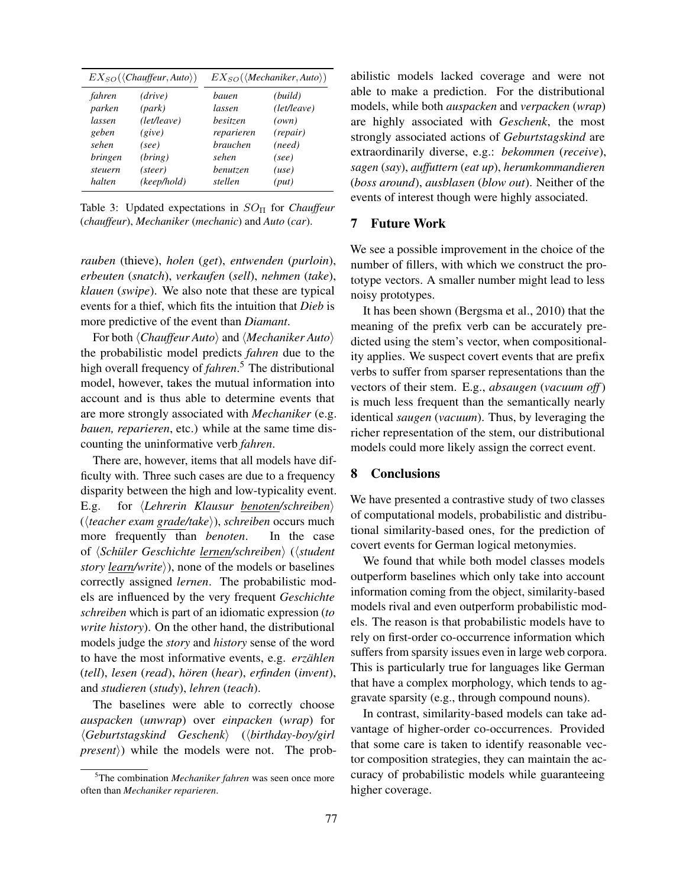| $EX_{SO}(\langle Chauffeur, Auto \rangle)$                                                                                                                                       |  | $EX_{SO}(\langle Mechaniker, Auto \rangle)$                                                         |                                                                                   |  |  |
|----------------------------------------------------------------------------------------------------------------------------------------------------------------------------------|--|-----------------------------------------------------------------------------------------------------|-----------------------------------------------------------------------------------|--|--|
| (drive)<br>fahren<br>parken<br>(park)<br>(left/leave)<br>lassen<br>geben<br>(give)<br>sehen<br>(see)<br><i>bringen</i><br>(bring)<br>(steer)<br>steuern<br>(keep/hold)<br>halten |  | bauen<br>lassen<br>besitzen<br>reparieren<br><i>brauchen</i><br>sehen<br><i>benutzen</i><br>stellen | (build)<br>(left/leave)<br>(own)<br>(repair)<br>(need)<br>(see)<br>(use)<br>(put) |  |  |

Table 3: Updated expectations in  $SO_{\Pi}$  for *Chauffeur* (*chauffeur*), *Mechaniker* (*mechanic*) and *Auto* (*car*).

*rauben* (thieve), *holen* (*get*), *entwenden* (*purloin*), *erbeuten* (*snatch*), *verkaufen* (*sell*), *nehmen* (*take*), *klauen* (*swipe*). We also note that these are typical events for a thief, which fits the intuition that *Dieb* is more predictive of the event than *Diamant*.

For both  $\langle Chauffeur Auto\rangle$  and  $\langle Mechaniker Auto\rangle$ the probabilistic model predicts *fahren* due to the high overall frequency of *fahren*. <sup>5</sup> The distributional model, however, takes the mutual information into account and is thus able to determine events that are more strongly associated with *Mechaniker* (e.g. *bauen, reparieren*, etc.) while at the same time discounting the uninformative verb *fahren*.

There are, however, items that all models have difficulty with. Three such cases are due to a frequency disparity between the high and low-typicality event. E.g. for *<i>Lehrerin Klausur benoten/schreiben*) (*\teacher exam grade/take*}), *schreiben* occurs much more frequently than *benoten*. In the case of h*Schüler Geschichte lernen/schreiben*i (h*student story learn/write*), none of the models or baselines correctly assigned *lernen*. The probabilistic models are influenced by the very frequent *Geschichte schreiben* which is part of an idiomatic expression (*to write history*). On the other hand, the distributional models judge the *story* and *history* sense of the word to have the most informative events, e.g. *erzählen* (*tell*), *lesen* (*read*), *hören* (*hear*), *erfinden* (*invent*), and *studieren* (*study*), *lehren* (*teach*).

The baselines were able to correctly choose *auspacken* (*unwrap*) over *einpacken* (*wrap*) for h*Geburtstagskind Geschenk*i (h*birthday-boy/girl*  $p$ *resent* $\rangle$ ) while the models were not. The probabilistic models lacked coverage and were not able to make a prediction. For the distributional models, while both *auspacken* and *verpacken* (*wrap*) are highly associated with *Geschenk*, the most strongly associated actions of *Geburtstagskind* are extraordinarily diverse, e.g.: *bekommen* (*receive*), *sagen* (*say*), *auffuttern* (*eat up*), *herumkommandieren* (*boss around*), *ausblasen* (*blow out*). Neither of the events of interest though were highly associated.

# 7 Future Work

We see a possible improvement in the choice of the number of fillers, with which we construct the prototype vectors. A smaller number might lead to less noisy prototypes.

It has been shown (Bergsma et al., 2010) that the meaning of the prefix verb can be accurately predicted using the stem's vector, when compositionality applies. We suspect covert events that are prefix verbs to suffer from sparser representations than the vectors of their stem. E.g., *absaugen* (*vacuum off*) is much less frequent than the semantically nearly identical *saugen* (*vacuum*). Thus, by leveraging the richer representation of the stem, our distributional models could more likely assign the correct event.

# 8 Conclusions

We have presented a contrastive study of two classes of computational models, probabilistic and distributional similarity-based ones, for the prediction of covert events for German logical metonymies.

We found that while both model classes models outperform baselines which only take into account information coming from the object, similarity-based models rival and even outperform probabilistic models. The reason is that probabilistic models have to rely on first-order co-occurrence information which suffers from sparsity issues even in large web corpora. This is particularly true for languages like German that have a complex morphology, which tends to aggravate sparsity (e.g., through compound nouns).

In contrast, similarity-based models can take advantage of higher-order co-occurrences. Provided that some care is taken to identify reasonable vector composition strategies, they can maintain the accuracy of probabilistic models while guaranteeing higher coverage.

<sup>5</sup>The combination *Mechaniker fahren* was seen once more often than *Mechaniker reparieren*.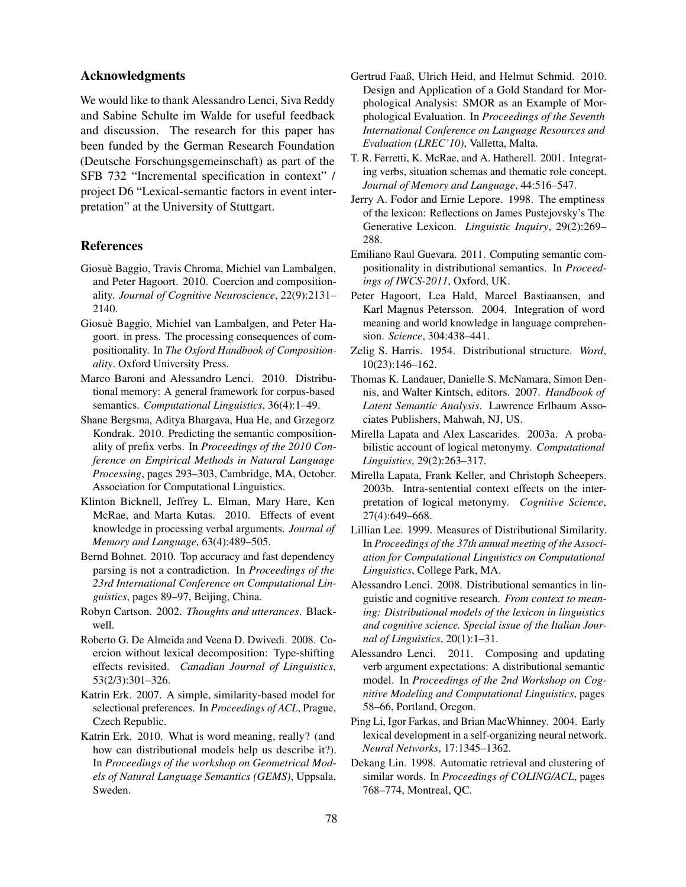# Acknowledgments

We would like to thank Alessandro Lenci, Siva Reddy and Sabine Schulte im Walde for useful feedback and discussion. The research for this paper has been funded by the German Research Foundation (Deutsche Forschungsgemeinschaft) as part of the SFB 732 "Incremental specification in context" / project D6 "Lexical-semantic factors in event interpretation" at the University of Stuttgart.

## References

- Giosuè Baggio, Travis Chroma, Michiel van Lambalgen, and Peter Hagoort. 2010. Coercion and compositionality. *Journal of Cognitive Neuroscience*, 22(9):2131– 2140.
- Giosuè Baggio, Michiel van Lambalgen, and Peter Hagoort. in press. The processing consequences of compositionality. In *The Oxford Handbook of Compositionality*. Oxford University Press.
- Marco Baroni and Alessandro Lenci. 2010. Distributional memory: A general framework for corpus-based semantics. *Computational Linguistics*, 36(4):1–49.
- Shane Bergsma, Aditya Bhargava, Hua He, and Grzegorz Kondrak. 2010. Predicting the semantic compositionality of prefix verbs. In *Proceedings of the 2010 Conference on Empirical Methods in Natural Language Processing*, pages 293–303, Cambridge, MA, October. Association for Computational Linguistics.
- Klinton Bicknell, Jeffrey L. Elman, Mary Hare, Ken McRae, and Marta Kutas. 2010. Effects of event knowledge in processing verbal arguments. *Journal of Memory and Language*, 63(4):489–505.
- Bernd Bohnet. 2010. Top accuracy and fast dependency parsing is not a contradiction. In *Proceedings of the 23rd International Conference on Computational Linguistics*, pages 89–97, Beijing, China.
- Robyn Cartson. 2002. *Thoughts and utterances*. Blackwell.
- Roberto G. De Almeida and Veena D. Dwivedi. 2008. Coercion without lexical decomposition: Type-shifting effects revisited. *Canadian Journal of Linguistics*, 53(2/3):301–326.
- Katrin Erk. 2007. A simple, similarity-based model for selectional preferences. In *Proceedings of ACL*, Prague, Czech Republic.
- Katrin Erk. 2010. What is word meaning, really? (and how can distributional models help us describe it?). In *Proceedings of the workshop on Geometrical Models of Natural Language Semantics (GEMS)*, Uppsala, Sweden.
- Gertrud Faaß, Ulrich Heid, and Helmut Schmid. 2010. Design and Application of a Gold Standard for Morphological Analysis: SMOR as an Example of Morphological Evaluation. In *Proceedings of the Seventh International Conference on Language Resources and Evaluation (LREC'10)*, Valletta, Malta.
- T. R. Ferretti, K. McRae, and A. Hatherell. 2001. Integrating verbs, situation schemas and thematic role concept. *Journal of Memory and Language*, 44:516–547.
- Jerry A. Fodor and Ernie Lepore. 1998. The emptiness of the lexicon: Reflections on James Pustejovsky's The Generative Lexicon. *Linguistic Inquiry*, 29(2):269– 288.
- Emiliano Raul Guevara. 2011. Computing semantic compositionality in distributional semantics. In *Proceedings of IWCS-2011*, Oxford, UK.
- Peter Hagoort, Lea Hald, Marcel Bastiaansen, and Karl Magnus Petersson. 2004. Integration of word meaning and world knowledge in language comprehension. *Science*, 304:438–441.
- Zelig S. Harris. 1954. Distributional structure. *Word*, 10(23):146–162.
- Thomas K. Landauer, Danielle S. McNamara, Simon Dennis, and Walter Kintsch, editors. 2007. *Handbook of Latent Semantic Analysis*. Lawrence Erlbaum Associates Publishers, Mahwah, NJ, US.
- Mirella Lapata and Alex Lascarides. 2003a. A probabilistic account of logical metonymy. *Computational Linguistics*, 29(2):263–317.
- Mirella Lapata, Frank Keller, and Christoph Scheepers. 2003b. Intra-sentential context effects on the interpretation of logical metonymy. *Cognitive Science*, 27(4):649–668.
- Lillian Lee. 1999. Measures of Distributional Similarity. In *Proceedings of the 37th annual meeting of the Association for Computational Linguistics on Computational Linguistics*, College Park, MA.
- Alessandro Lenci. 2008. Distributional semantics in linguistic and cognitive research. *From context to meaning: Distributional models of the lexicon in linguistics and cognitive science. Special issue of the Italian Journal of Linguistics*, 20(1):1–31.
- Alessandro Lenci. 2011. Composing and updating verb argument expectations: A distributional semantic model. In *Proceedings of the 2nd Workshop on Cognitive Modeling and Computational Linguistics*, pages 58–66, Portland, Oregon.
- Ping Li, Igor Farkas, and Brian MacWhinney. 2004. Early lexical development in a self-organizing neural network. *Neural Networks*, 17:1345–1362.
- Dekang Lin. 1998. Automatic retrieval and clustering of similar words. In *Proceedings of COLING/ACL*, pages 768–774, Montreal, QC.